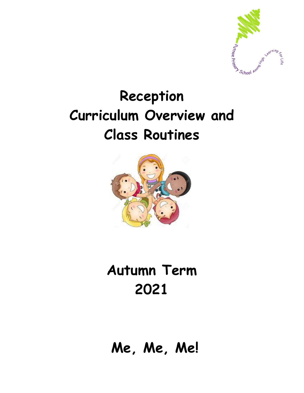

## **Reception Curriculum Overview and Class Routines**



## **Autumn Term 2021**

**Me, Me, Me!**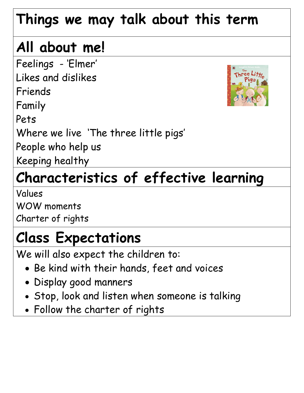## **Things we may talk about this term**

# **All about me!**

Feelings - 'Elmer' Likes and dislikes

Friends

Family

Pets

Where we live 'The three little pigs'

People who help us

Keeping healthy

# **Characteristics of effective learning**

Values WOW moments Charter of rights

## **Class Expectations**

We will also expect the children to:

- Be kind with their hands, feet and voices
- Display good manners
- Stop, look and listen when someone is talking
- Follow the charter of rights

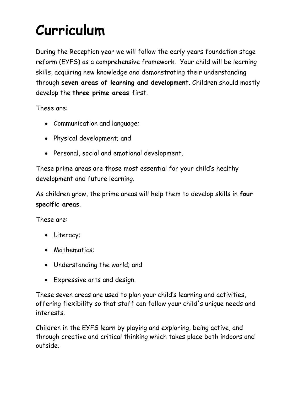## **Curriculum**

During the Reception year we will follow the early years foundation stage reform (EYFS) as a comprehensive framework. Your child will be learning skills, acquiring new knowledge and demonstrating their understanding through **seven areas of learning and development**. Children should mostly develop the **three prime areas** first.

These are:

- Communication and language;
- Physical development; and
- Personal, social and emotional development.

These prime areas are those most essential for your child's healthy development and future learning.

As children grow, the prime areas will help them to develop skills in **four specific areas**.

These are:

- Literacy;
- Mathematics:
- Understanding the world; and
- Expressive arts and design.

These seven areas are used to plan your child's learning and activities, offering flexibility so that staff can follow your child's unique needs and interests.

Children in the EYFS learn by playing and exploring, being active, and through creative and critical thinking which takes place both indoors and outside.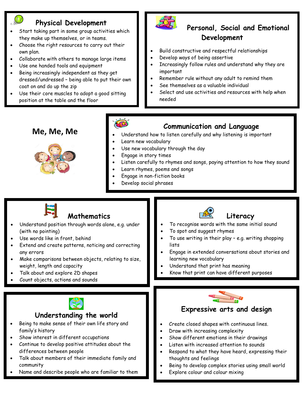### **Physical Development**

- Start taking part in some group activities which they make up themselves, or in teams.
- Choose the right resources to carry out their own plan.
- Collaborate with others to manage large items
- Use one handed tools and equipment
- Being increasingly independent as they get dressed/undressed – being able to put their own coat on and do up the zip
- Use their core muscles to adopt a good sitting position at the table and the floor



### **Personal, Social and Emotional Development**

- Build constructive and respectful relationships
- Develop ways of being assertive
- Increasingly follow rules and understand why they are important
- Remember rule without any adult to remind them
- See themselves as a valuable individual
- Select and use activities and resources with help when needed

### **Me, Me, Me**





### **Communication and Language**

- Understand how to listen carefully and why listening is important
- Learn new vocabulary
- Use new vocabulary through the day
- Engage in story times
- Listen carefully to rhymes and songs, paying attention to how they sound
- Learn rhymes, poems and songs
- Engage in non-fiction books
- Develop social phrases



- Name and describe people who are familiar to them
- Explore colour and colour mixing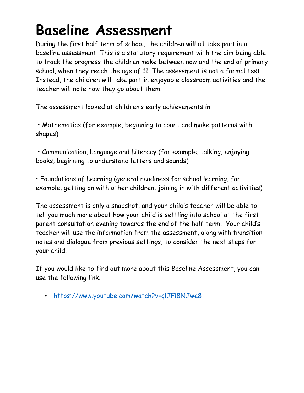## **Baseline Assessment**

During the first half term of school, the children will all take part in a baseline assessment. This is a statutory requirement with the aim being able to track the progress the children make between now and the end of primary school, when they reach the age of 11. The assessment is not a formal test. Instead, the children will take part in enjoyable classroom activities and the teacher will note how they go about them.

The assessment looked at children's early achievements in:

• Mathematics (for example, beginning to count and make patterns with shapes)

• Communication, Language and Literacy (for example, talking, enjoying books, beginning to understand letters and sounds)

• Foundations of Learning (general readiness for school learning, for example, getting on with other children, joining in with different activities)

The assessment is only a snapshot, and your child's teacher will be able to tell you much more about how your child is settling into school at the first parent consultation evening towards the end of the half term. Your child's teacher will use the information from the assessment, along with transition notes and dialogue from previous settings, to consider the next steps for your child.

If you would like to find out more about this Baseline Assessment, you can use the following link.

• <https://www.youtube.com/watch?v=qlJFl8NJwe8>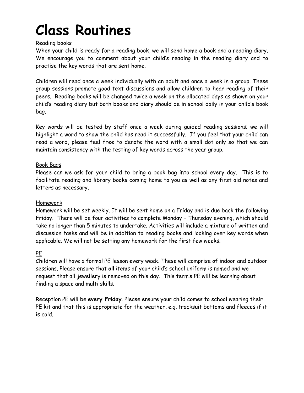## **Class Routines**

### Reading books

When your child is ready for a reading book, we will send home a book and a reading diary. We encourage you to comment about your child's reading in the reading diary and to practise the key words that are sent home.

Children will read once a week individually with an adult and once a week in a group. These group sessions promote good text discussions and allow children to hear reading of their peers. Reading books will be changed twice a week on the allocated days as shown on your child's reading diary but both books and diary should be in school daily in your child's book bag.

Key words will be tested by staff once a week during guided reading sessions; we will highlight a word to show the child has read it successfully. If you feel that your child can read a word, please feel free to denote the word with a small dot only so that we can maintain consistency with the testing of key words across the year group.

#### Book Bags

Please can we ask for your child to bring a book bag into school every day. This is to facilitate reading and library books coming home to you as well as any first aid notes and letters as necessary.

#### Homework

Homework will be set weekly. It will be sent home on a Friday and is due back the following Friday. There will be four activities to complete Monday – Thursday evening, which should take no longer than 5 minutes to undertake. Activities will include a mixture of written and discussion tasks and will be in addition to reading books and looking over key words when applicable. We will not be setting any homework for the first few weeks.

### PE

Children will have a formal PE lesson every week. These will comprise of indoor and outdoor sessions. Please ensure that **all** items of your child's school uniform is named and we request that all jewellery is removed on this day. This term's PE will be learning about finding a space and multi skills.

Reception PE will be **every Friday**. Please ensure your child comes to school wearing their PE kit and that this is appropriate for the weather, e.g. tracksuit bottoms and fleeces if it is cold.